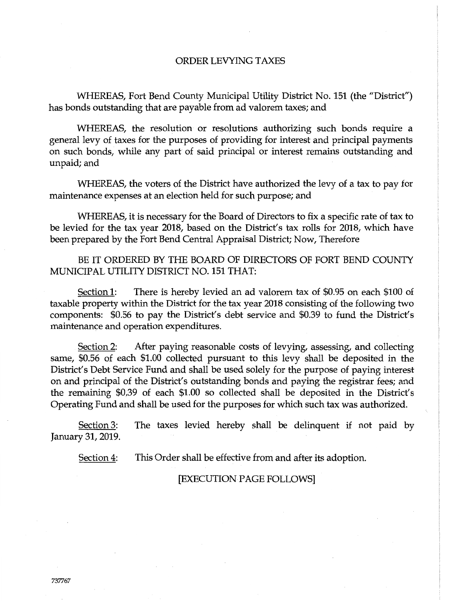### ORDER LEVYING TAXES

WHEREAS, Fort Bend County Municipal Utility District No. 151 (the "District") has bonds outstanding that are payable from ad valorem taxes; and

WHEREAS, the resolution or resolutions authorizing such bonds require a general levy of taxes for the purposes of providing for interest and principal payments on such bonds, while any part of said principal or interest remains outstanding and unpaid; and

WHEREAS, the voters of the District have authorized the levy of a tax to pay for maintenance expenses at an election held for such purpose; and

WHEREAS, it is necessary for the Board of Directors to fix a specific rate of tax to be levied for the tax year 2018, based on the District's tax rolls for 2018, which have been prepared by the Fort Bend Central Appraisal District; Now, Therefore

BE IT ORDERED BY THE BOARD OF DIRECTORS OF FORT BEND COUNTY MUNICIPAL UTILITY DISTRICT NO. 151 THAT:

Section 1: There is hereby levied an ad valorem tax of \$0.95 on each \$100 of taxable property within the District for the tax year 2018 consisting of the following two components: \$0.56 to pay the District's debt service and \$0.39 to fund the District's maintenance and operation expenditures.

Section 2: After paying reasonable costs of levying, assessing, and collecting same, \$0.56 of each \$1.00 collected pursuant to this levy shall be deposited in the District's Debt Service Fund and shall be used solely for the purpose of paying interest on and principal of the District's outstanding bonds and paying the registrar fees; and the remaining \$0.39 of each \$1.00 so collected shall be deposited in the District's Operating Fund and shall be used for the purposes for which such tax was authorized.

Section 3: The taxes levied hereby shall be delinquent if not paid by January 31, 2019.

Section 4: This Order shall be effective from and after its adoption.

[EXECUTION PAGE FOLLOWS]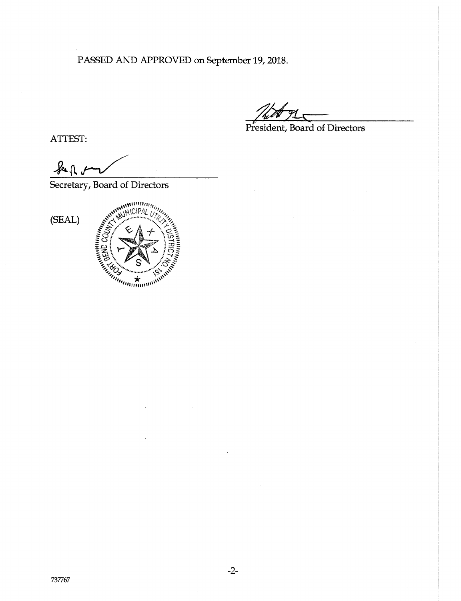PASSED AND APPROVED on September 19, 2018.

President, Board of Directors

ATTEST:

See p 1

Secretary, Board of Directors